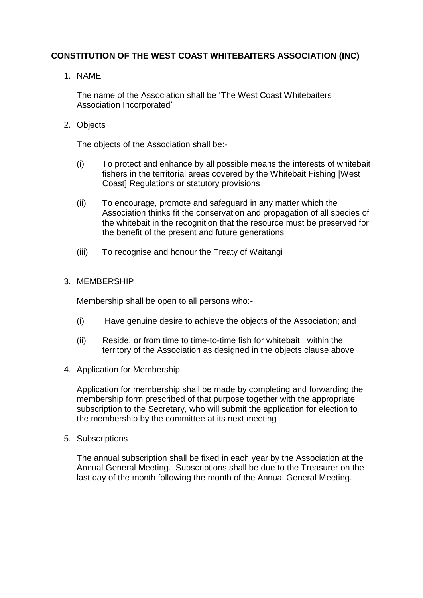# **CONSTITUTION OF THE WEST COAST WHITEBAITERS ASSOCIATION (INC)**

1. NAME

The name of the Association shall be 'The West Coast Whitebaiters Association Incorporated'

2. Objects

The objects of the Association shall be:-

- (i) To protect and enhance by all possible means the interests of whitebait fishers in the territorial areas covered by the Whitebait Fishing [West Coast] Regulations or statutory provisions
- (ii) To encourage, promote and safeguard in any matter which the Association thinks fit the conservation and propagation of all species of the whitebait in the recognition that the resource must be preserved for the benefit of the present and future generations
- (iii) To recognise and honour the Treaty of Waitangi

# 3. MEMBERSHIP

Membership shall be open to all persons who:-

- (i) Have genuine desire to achieve the objects of the Association; and
- (ii) Reside, or from time to time-to-time fish for whitebait, within the territory of the Association as designed in the objects clause above
- 4. Application for Membership

Application for membership shall be made by completing and forwarding the membership form prescribed of that purpose together with the appropriate subscription to the Secretary, who will submit the application for election to the membership by the committee at its next meeting

5. Subscriptions

The annual subscription shall be fixed in each year by the Association at the Annual General Meeting. Subscriptions shall be due to the Treasurer on the last day of the month following the month of the Annual General Meeting.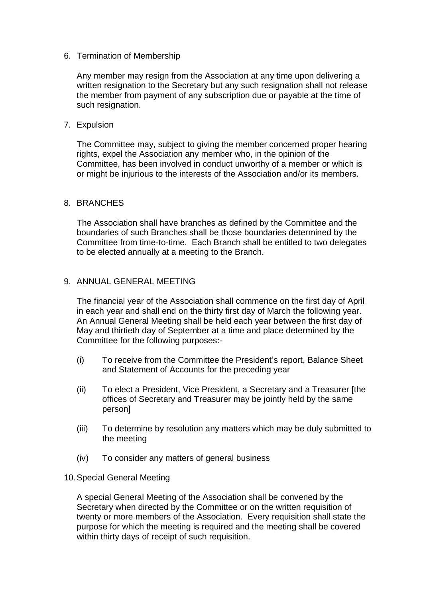### 6. Termination of Membership

Any member may resign from the Association at any time upon delivering a written resignation to the Secretary but any such resignation shall not release the member from payment of any subscription due or payable at the time of such resignation.

### 7. Expulsion

The Committee may, subject to giving the member concerned proper hearing rights, expel the Association any member who, in the opinion of the Committee, has been involved in conduct unworthy of a member or which is or might be injurious to the interests of the Association and/or its members.

### 8. BRANCHES

The Association shall have branches as defined by the Committee and the boundaries of such Branches shall be those boundaries determined by the Committee from time-to-time. Each Branch shall be entitled to two delegates to be elected annually at a meeting to the Branch.

# 9. ANNUAL GENERAL MEETING

The financial year of the Association shall commence on the first day of April in each year and shall end on the thirty first day of March the following year. An Annual General Meeting shall be held each year between the first day of May and thirtieth day of September at a time and place determined by the Committee for the following purposes:-

- (i) To receive from the Committee the President's report, Balance Sheet and Statement of Accounts for the preceding year
- (ii) To elect a President, Vice President, a Secretary and a Treasurer [the offices of Secretary and Treasurer may be jointly held by the same person]
- (iii) To determine by resolution any matters which may be duly submitted to the meeting
- (iv) To consider any matters of general business

# 10.Special General Meeting

A special General Meeting of the Association shall be convened by the Secretary when directed by the Committee or on the written requisition of twenty or more members of the Association. Every requisition shall state the purpose for which the meeting is required and the meeting shall be covered within thirty days of receipt of such requisition.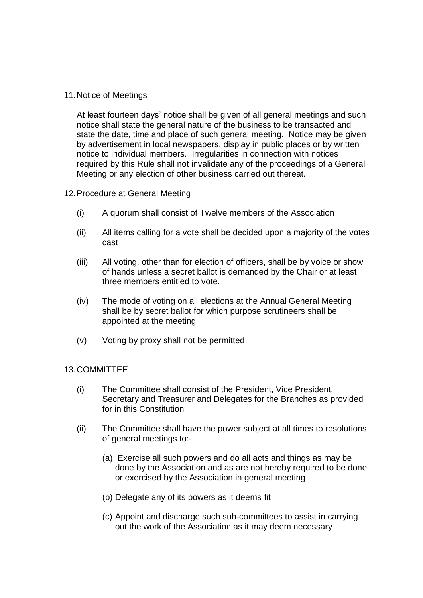### 11.Notice of Meetings

At least fourteen days' notice shall be given of all general meetings and such notice shall state the general nature of the business to be transacted and state the date, time and place of such general meeting. Notice may be given by advertisement in local newspapers, display in public places or by written notice to individual members. Irregularities in connection with notices required by this Rule shall not invalidate any of the proceedings of a General Meeting or any election of other business carried out thereat.

#### 12.Procedure at General Meeting

- (i) A quorum shall consist of Twelve members of the Association
- (ii) All items calling for a vote shall be decided upon a majority of the votes cast
- (iii) All voting, other than for election of officers, shall be by voice or show of hands unless a secret ballot is demanded by the Chair or at least three members entitled to vote.
- (iv) The mode of voting on all elections at the Annual General Meeting shall be by secret ballot for which purpose scrutineers shall be appointed at the meeting
- (v) Voting by proxy shall not be permitted

### 13.COMMITTEE

- (i) The Committee shall consist of the President, Vice President, Secretary and Treasurer and Delegates for the Branches as provided for in this Constitution
- (ii) The Committee shall have the power subject at all times to resolutions of general meetings to:-
	- (a) Exercise all such powers and do all acts and things as may be done by the Association and as are not hereby required to be done or exercised by the Association in general meeting
	- (b) Delegate any of its powers as it deems fit
	- (c) Appoint and discharge such sub-committees to assist in carrying out the work of the Association as it may deem necessary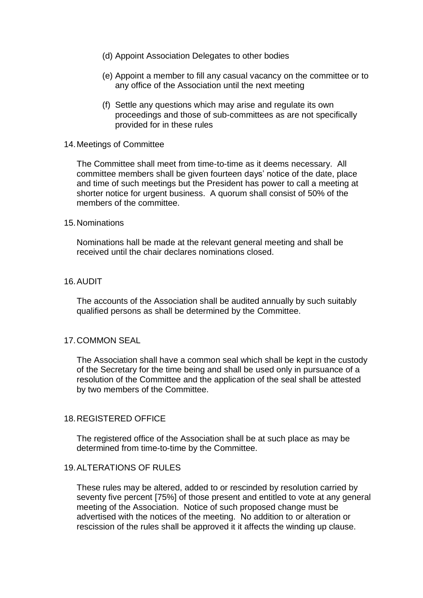- (d) Appoint Association Delegates to other bodies
- (e) Appoint a member to fill any casual vacancy on the committee or to any office of the Association until the next meeting
- (f) Settle any questions which may arise and regulate its own proceedings and those of sub-committees as are not specifically provided for in these rules

#### 14.Meetings of Committee

The Committee shall meet from time-to-time as it deems necessary. All committee members shall be given fourteen days' notice of the date, place and time of such meetings but the President has power to call a meeting at shorter notice for urgent business. A quorum shall consist of 50% of the members of the committee.

#### 15.Nominations

Nominations hall be made at the relevant general meeting and shall be received until the chair declares nominations closed.

#### 16.AUDIT

The accounts of the Association shall be audited annually by such suitably qualified persons as shall be determined by the Committee.

#### 17.COMMON SEAL

The Association shall have a common seal which shall be kept in the custody of the Secretary for the time being and shall be used only in pursuance of a resolution of the Committee and the application of the seal shall be attested by two members of the Committee.

#### 18.REGISTERED OFFICE

The registered office of the Association shall be at such place as may be determined from time-to-time by the Committee.

#### 19.ALTERATIONS OF RULES

These rules may be altered, added to or rescinded by resolution carried by seventy five percent [75%] of those present and entitled to vote at any general meeting of the Association. Notice of such proposed change must be advertised with the notices of the meeting. No addition to or alteration or rescission of the rules shall be approved it it affects the winding up clause.